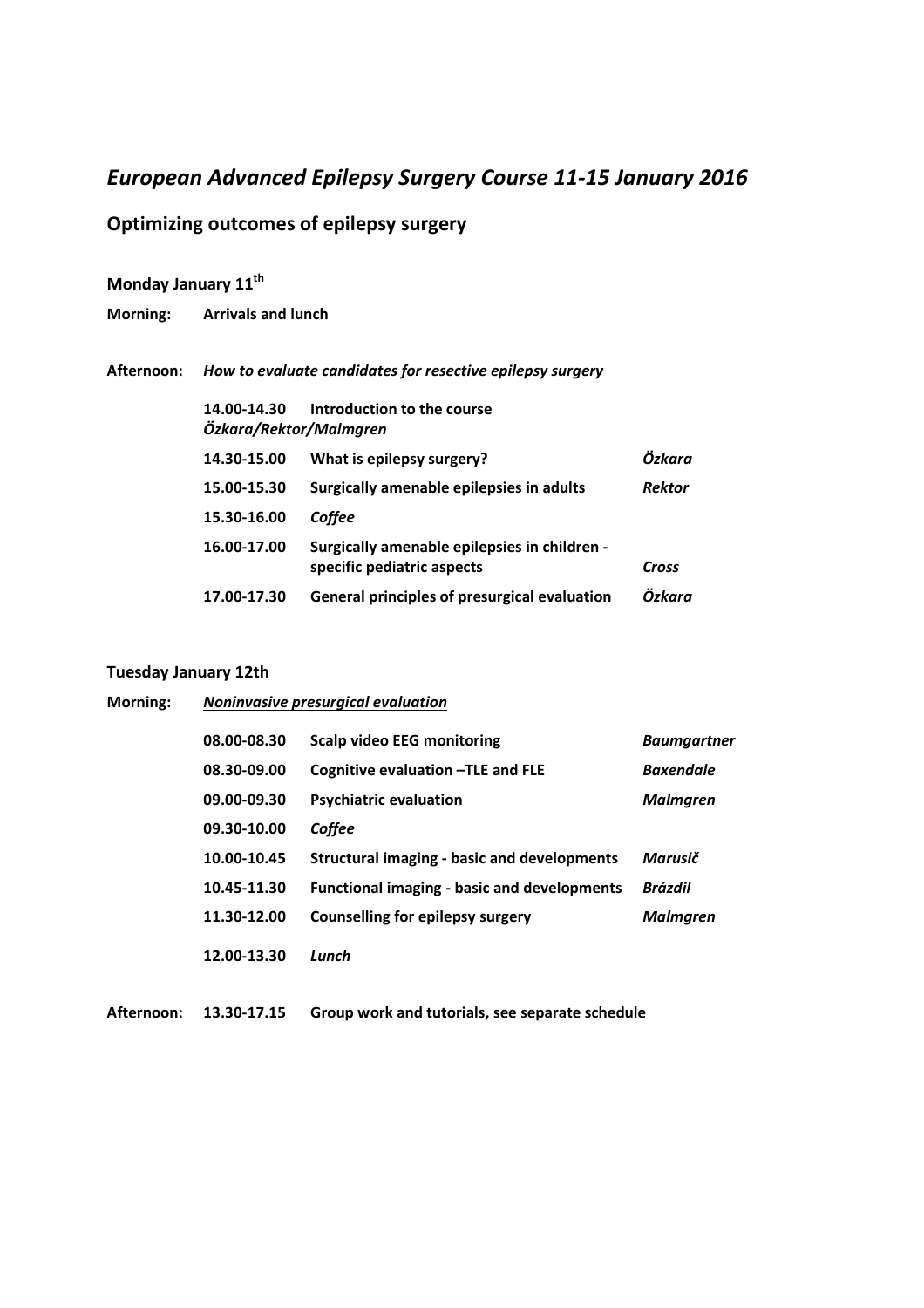### *European Advanced Epilepsy Surgery Course 11-15 January 2016*

### **Optimizing outcomes of epilepsy surgery**

## **Monday January 11th**

**Morning: Arrivals and lunch** 

#### **Afternoon:** *How to evaluate candidates for resective epilepsy surgery*

| 14.00-14.30<br>Özkara/Rektor/Malmgren | Introduction to the course                                                 |               |
|---------------------------------------|----------------------------------------------------------------------------|---------------|
| 14.30-15.00                           | What is epilepsy surgery?                                                  | Özkara        |
| 15.00-15.30                           | Surgically amenable epilepsies in adults                                   | <b>Rektor</b> |
| 15.30-16.00                           | Coffee                                                                     |               |
| 16.00-17.00                           | Surgically amenable epilepsies in children -<br>specific pediatric aspects | Cross         |
| 17.00-17.30                           | General principles of presurgical evaluation                               | Özkara        |

#### **Tuesday January 12th**

| Morning: | Noninvasive presurgical evaluation |                                                    |                    |
|----------|------------------------------------|----------------------------------------------------|--------------------|
|          | 08.00-08.30                        | <b>Scalp video EEG monitoring</b>                  | <b>Baumgartner</b> |
|          | 08.30-09.00                        | Cognitive evaluation - TLE and FLE                 | <b>Baxendale</b>   |
|          | 09.00-09.30                        | <b>Psychiatric evaluation</b>                      | <b>Malmgren</b>    |
|          | 09.30-10.00                        | Coffee                                             |                    |
|          | 10.00-10.45                        | Structural imaging - basic and developments        | Marusič            |
|          | 10.45-11.30                        | <b>Functional imaging - basic and developments</b> | <b>Brázdil</b>     |
|          | 11.30-12.00                        | <b>Counselling for epilepsy surgery</b>            | <b>Malmgren</b>    |
|          | 12.00-13.30                        | Lunch                                              |                    |

**Afternoon: 13.30-17.15 Group work and tutorials, see separate schedule**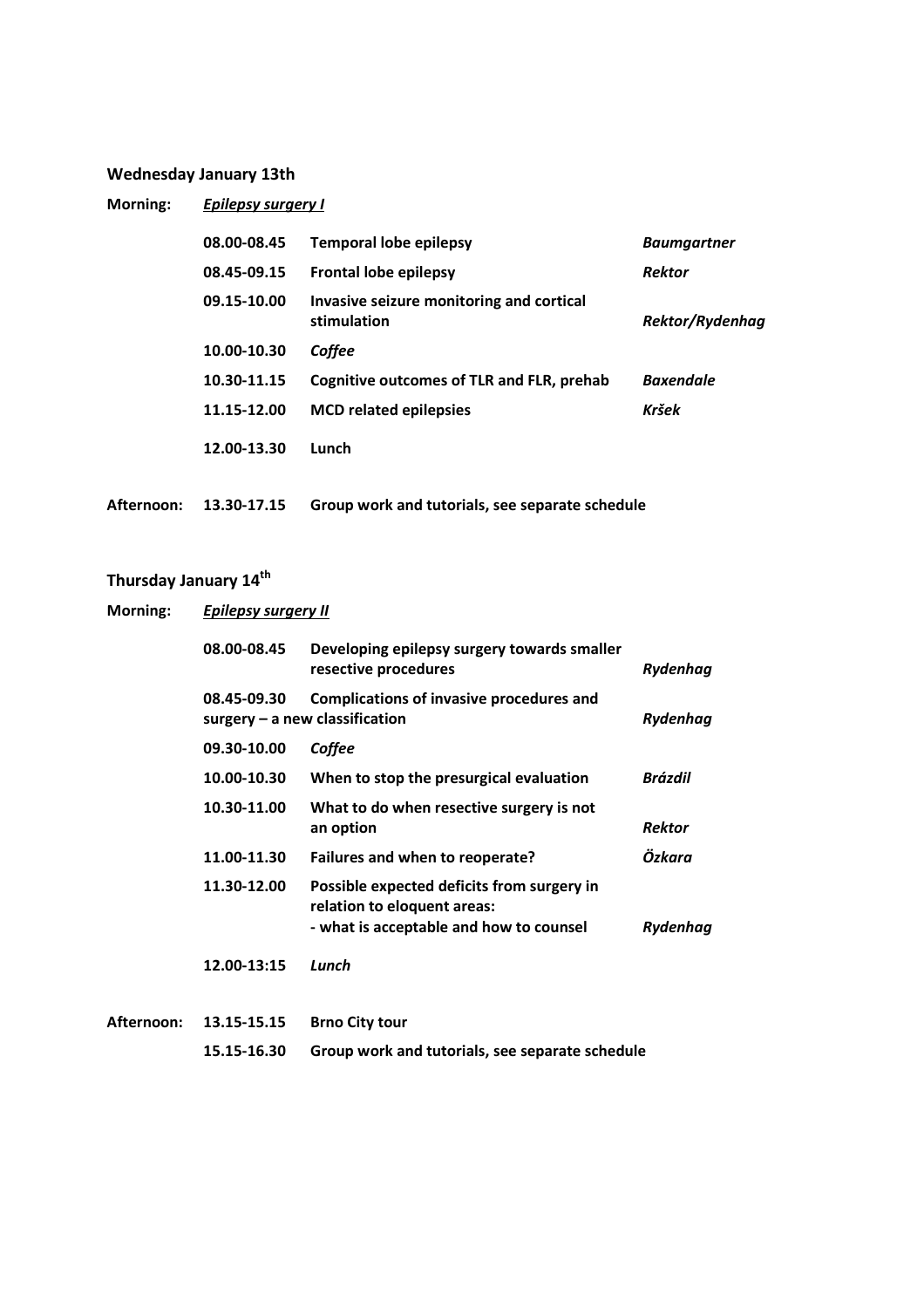### **Wednesday January 13th**

| Morning:   | <b>Epilepsy surgery I</b> |                                                         |                    |
|------------|---------------------------|---------------------------------------------------------|--------------------|
|            | 08.00-08.45               | <b>Temporal lobe epilepsy</b>                           | <b>Baumgartner</b> |
|            | 08.45-09.15               | <b>Frontal lobe epilepsy</b>                            | <b>Rektor</b>      |
|            | 09.15-10.00               | Invasive seizure monitoring and cortical<br>stimulation | Rektor/Rydenhag    |
|            | 10.00-10.30               | Coffee                                                  |                    |
|            | 10.30-11.15               | Cognitive outcomes of TLR and FLR, prehab               | <b>Baxendale</b>   |
|            | 11.15-12.00               | <b>MCD related epilepsies</b>                           | Kršek              |
|            | 12.00-13.30               | Lunch                                                   |                    |
| Afternoon: | 13.30-17.15               | Group work and tutorials, see separate schedule         |                    |

# **Thursday January 14th**

| Morning:   | <b>Epilepsy surgery II</b> |                                                                                                                      |               |
|------------|----------------------------|----------------------------------------------------------------------------------------------------------------------|---------------|
|            | 08.00-08.45                | Developing epilepsy surgery towards smaller<br>resective procedures                                                  | Rydenhag      |
|            | 08.45-09.30                | <b>Complications of invasive procedures and</b><br>$surgery - a new classification$                                  | Rydenhag      |
|            | 09.30-10.00                | Coffee                                                                                                               |               |
|            | 10.00-10.30                | When to stop the presurgical evaluation                                                                              | Brázdil       |
|            | 10.30-11.00                | What to do when resective surgery is not<br>an option                                                                | <b>Rektor</b> |
|            | 11.00-11.30                | Failures and when to reoperate?                                                                                      | Özkara        |
|            | 11.30-12.00                | Possible expected deficits from surgery in<br>relation to eloquent areas:<br>- what is acceptable and how to counsel | Rydenhag      |
|            | 12.00-13:15                | Lunch                                                                                                                |               |
| Afternoon: | 13.15-15.15                | <b>Brno City tour</b>                                                                                                |               |
|            | 15.15-16.30                | Group work and tutorials, see separate schedule                                                                      |               |